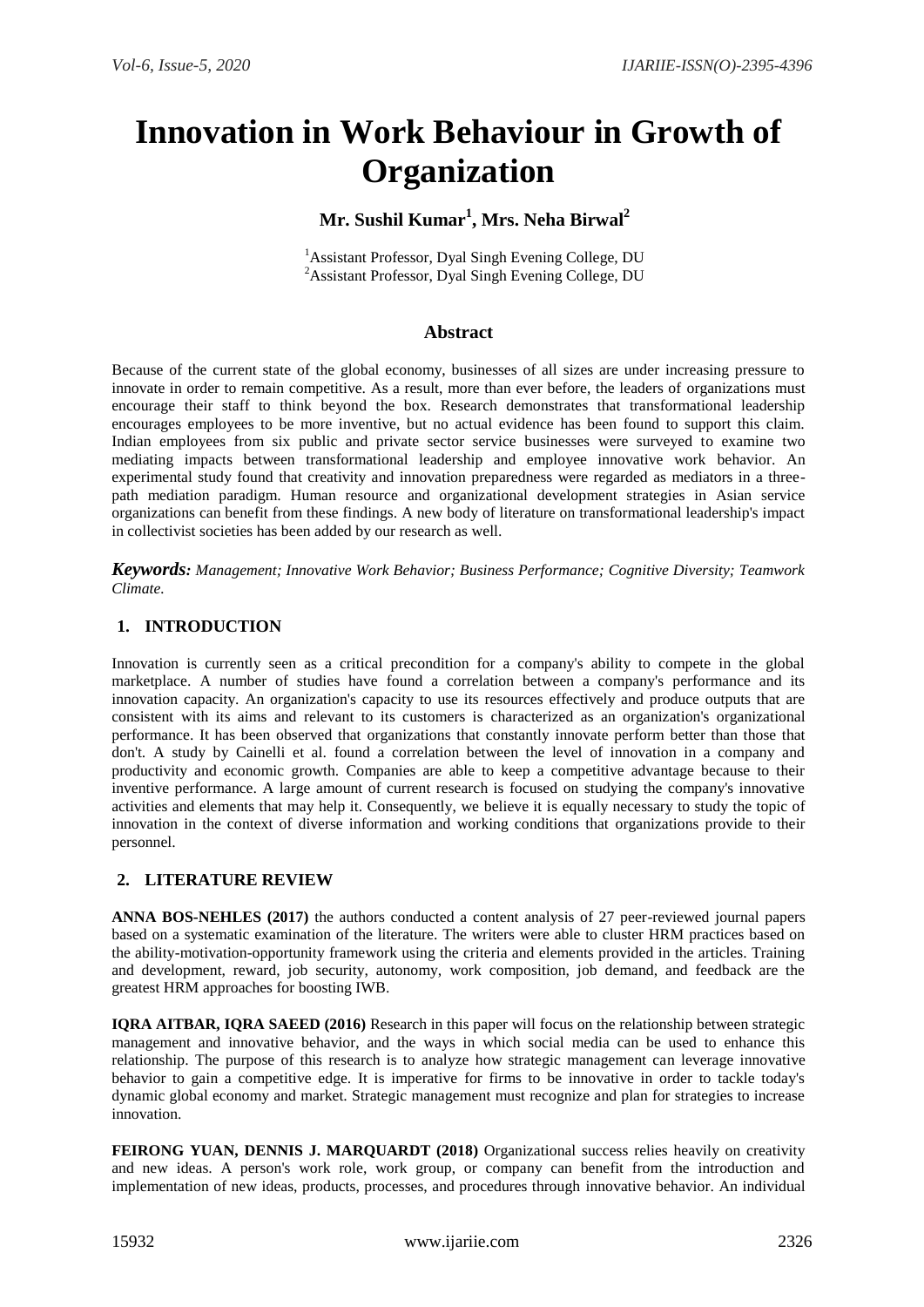# **Innovation in Work Behaviour in Growth of Organization**

# **Mr. Sushil Kumar<sup>1</sup> , Mrs. Neha Birwal<sup>2</sup>**

<sup>1</sup>Assistant Professor, Dyal Singh Evening College, DU <sup>2</sup>Assistant Professor, Dyal Singh Evening College, DU

## **Abstract**

Because of the current state of the global economy, businesses of all sizes are under increasing pressure to innovate in order to remain competitive. As a result, more than ever before, the leaders of organizations must encourage their staff to think beyond the box. Research demonstrates that transformational leadership encourages employees to be more inventive, but no actual evidence has been found to support this claim. Indian employees from six public and private sector service businesses were surveyed to examine two mediating impacts between transformational leadership and employee innovative work behavior. An experimental study found that creativity and innovation preparedness were regarded as mediators in a threepath mediation paradigm. Human resource and organizational development strategies in Asian service organizations can benefit from these findings. A new body of literature on transformational leadership's impact in collectivist societies has been added by our research as well.

*Keywords: Management; Innovative Work Behavior; Business Performance; Cognitive Diversity; Teamwork Climate.*

# **1. INTRODUCTION**

Innovation is currently seen as a critical precondition for a company's ability to compete in the global marketplace. A number of studies have found a correlation between a company's performance and its innovation capacity. An organization's capacity to use its resources effectively and produce outputs that are consistent with its aims and relevant to its customers is characterized as an organization's organizational performance. It has been observed that organizations that constantly innovate perform better than those that don't. A study by Cainelli et al. found a correlation between the level of innovation in a company and productivity and economic growth. Companies are able to keep a competitive advantage because to their inventive performance. A large amount of current research is focused on studying the company's innovative activities and elements that may help it. Consequently, we believe it is equally necessary to study the topic of innovation in the context of diverse information and working conditions that organizations provide to their personnel.

## **2. LITERATURE REVIEW**

**ANNA BOS-NEHLES (2017)** the authors conducted a content analysis of 27 peer-reviewed journal papers based on a systematic examination of the literature. The writers were able to cluster HRM practices based on the ability-motivation-opportunity framework using the criteria and elements provided in the articles. Training and development, reward, job security, autonomy, work composition, job demand, and feedback are the greatest HRM approaches for boosting IWB.

**IQRA AITBAR, IQRA SAEED (2016)** Research in this paper will focus on the relationship between strategic management and innovative behavior, and the ways in which social media can be used to enhance this relationship. The purpose of this research is to analyze how strategic management can leverage innovative behavior to gain a competitive edge. It is imperative for firms to be innovative in order to tackle today's dynamic global economy and market. Strategic management must recognize and plan for strategies to increase innovation.

**FEIRONG YUAN, DENNIS J. MARQUARDT (2018)** Organizational success relies heavily on creativity and new ideas. A person's work role, work group, or company can benefit from the introduction and implementation of new ideas, products, processes, and procedures through innovative behavior. An individual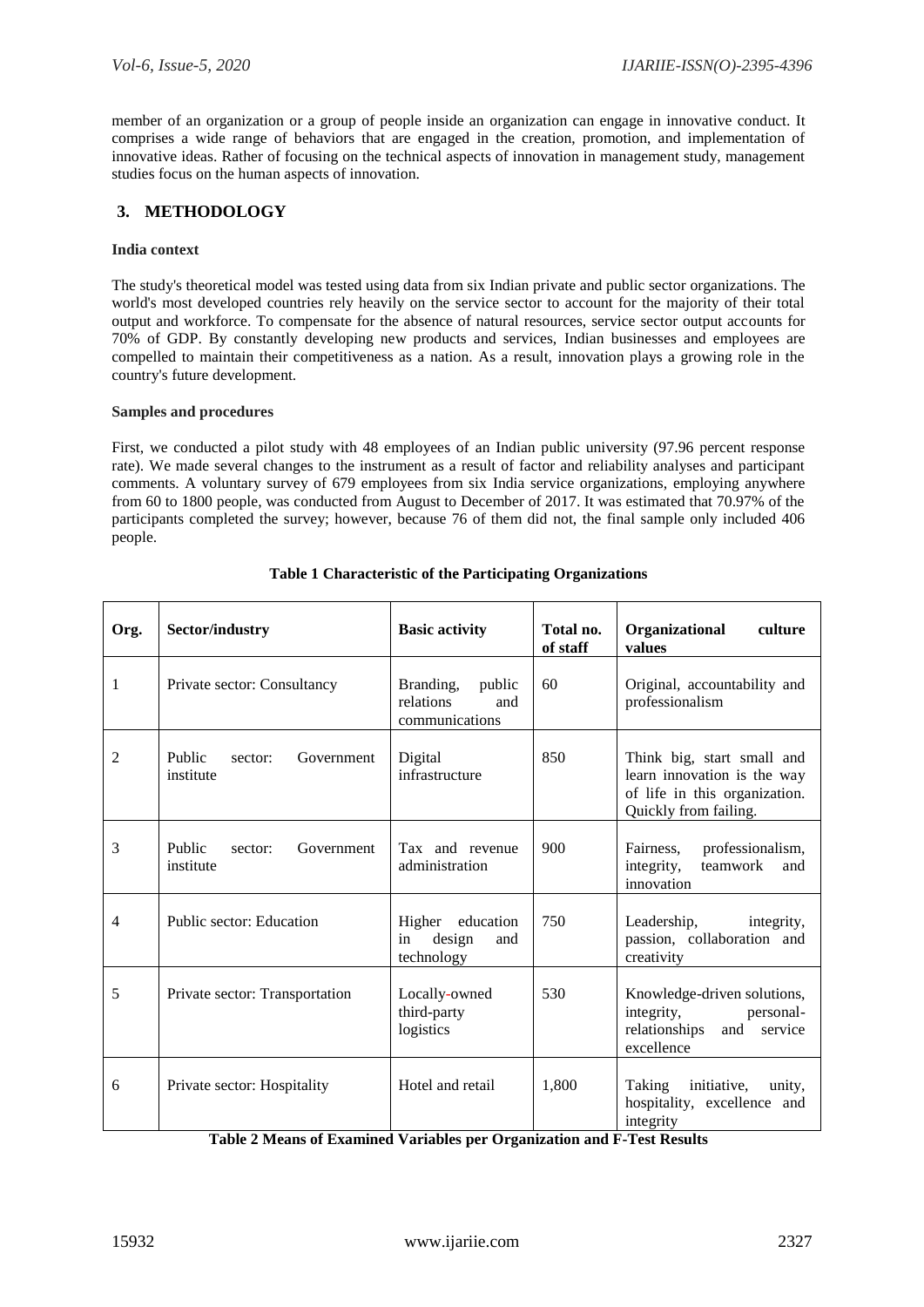member of an organization or a group of people inside an organization can engage in innovative conduct. It comprises a wide range of behaviors that are engaged in the creation, promotion, and implementation of innovative ideas. Rather of focusing on the technical aspects of innovation in management study, management studies focus on the human aspects of innovation.

# **3. METHODOLOGY**

## **India context**

The study's theoretical model was tested using data from six Indian private and public sector organizations. The world's most developed countries rely heavily on the service sector to account for the majority of their total output and workforce. To compensate for the absence of natural resources, service sector output accounts for 70% of GDP. By constantly developing new products and services, Indian businesses and employees are compelled to maintain their competitiveness as a nation. As a result, innovation plays a growing role in the country's future development.

#### **Samples and procedures**

First, we conducted a pilot study with 48 employees of an Indian public university (97.96 percent response rate). We made several changes to the instrument as a result of factor and reliability analyses and participant comments. A voluntary survey of 679 employees from six India service organizations, employing anywhere from 60 to 1800 people, was conducted from August to December of 2017. It was estimated that 70.97% of the participants completed the survey; however, because 76 of them did not, the final sample only included 406 people.

| Org. | Sector/industry                              | <b>Basic activity</b>                                     | Total no.<br>of staff                                                 | Organizational<br>culture<br>values                                                                                 |  |  |  |
|------|----------------------------------------------|-----------------------------------------------------------|-----------------------------------------------------------------------|---------------------------------------------------------------------------------------------------------------------|--|--|--|
| 1    | Private sector: Consultancy                  | Branding,<br>public<br>relations<br>and<br>communications | 60                                                                    | Original, accountability and<br>professionalism                                                                     |  |  |  |
| 2    | Public<br>Government<br>sector:<br>institute | Digital<br>infrastructure                                 | 850                                                                   | Think big, start small and<br>learn innovation is the way<br>of life in this organization.<br>Quickly from failing. |  |  |  |
| 3    | Public<br>Government<br>sector:<br>institute | Tax and revenue<br>administration                         | 900                                                                   | professionalism,<br>Fairness,<br>teamwork<br>integrity,<br>and<br>innovation                                        |  |  |  |
| 4    | Public sector: Education                     | Higher education<br>design<br>in<br>and<br>technology     | Leadership,<br>integrity,<br>passion, collaboration and<br>creativity |                                                                                                                     |  |  |  |
| 5    | Private sector: Transportation               | 530<br>Locally-owned<br>third-party<br>logistics          |                                                                       | Knowledge-driven solutions,<br>integrity,<br>personal-<br>relationships<br>and<br>service<br>excellence             |  |  |  |
| 6    | Private sector: Hospitality                  | Hotel and retail                                          | 1,800                                                                 | initiative,<br>Taking<br>unity,<br>hospitality, excellence and<br>integrity                                         |  |  |  |

## **Table 1 Characteristic of the Participating Organizations**

| Table 2 Means of Examined Variables per Organization and F-Test Results |  |  |  |
|-------------------------------------------------------------------------|--|--|--|
|-------------------------------------------------------------------------|--|--|--|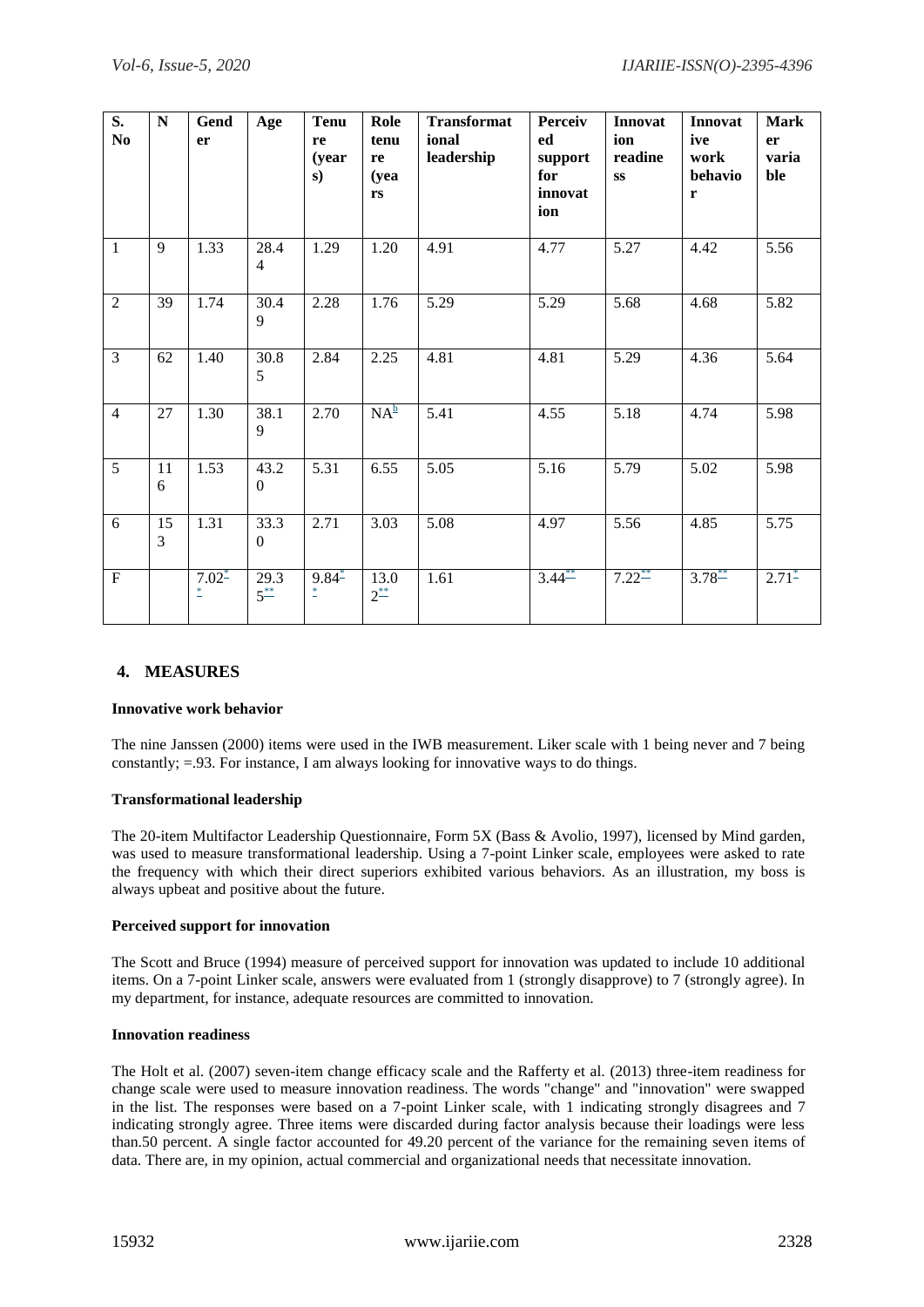| $\overline{\mathbf{S}}$ .<br>N <sub>0</sub> | ${\bf N}$ | Gend<br>er                 | Age                      | <b>Tenu</b><br>re<br>(year<br>s) | Role<br>tenu<br>re<br>(yea<br>rs | <b>Transformat</b><br>ional<br>leadership | Perceiv<br>ed<br>support<br>for<br>innovat<br>ion | Innovat<br>ion<br>readine<br><b>SS</b> | Innovat<br>ive<br>work<br>behavio<br>r | <b>Mark</b><br>er<br>varia<br>ble |
|---------------------------------------------|-----------|----------------------------|--------------------------|----------------------------------|----------------------------------|-------------------------------------------|---------------------------------------------------|----------------------------------------|----------------------------------------|-----------------------------------|
| $\mathbf{1}$                                | 9         | 1.33                       | 28.4<br>$\overline{4}$   | 1.29                             | 1.20                             | 4.91                                      | 4.77                                              | 5.27                                   | 4.42                                   | 5.56                              |
| $\overline{2}$                              | 39        | 1.74                       | 30.4<br>9                | 2.28                             | 1.76                             | 5.29                                      | 5.29                                              | 5.68                                   | 4.68                                   | 5.82                              |
| $\overline{3}$                              | 62        | 1.40                       | 30.8<br>5                | 2.84                             | 2.25                             | 4.81                                      | 4.81                                              | $\overline{5.29}$                      | 4.36                                   | 5.64                              |
| $\overline{4}$                              | 27        | 1.30                       | 38.1<br>9                | 2.70                             | $NA^{\underline{b}}$             | 5.41                                      | 4.55                                              | 5.18                                   | 4.74                                   | 5.98                              |
| 5                                           | 11<br>6   | 1.53                       | 43.2<br>$\mathbf{0}$     | 5.31                             | 6.55                             | 5.05                                      | 5.16                                              | 5.79                                   | 5.02                                   | 5.98                              |
| 6                                           | 15<br>3   | 1.31                       | 33.3<br>$\boldsymbol{0}$ | 2.71                             | 3.03                             | 5.08                                      | 4.97                                              | 5.56                                   | 4.85                                   | 5.75                              |
| F                                           |           | $7.02^*$<br>$\overline{a}$ | 29.3<br>$5^{**}$         | $9.84^*$<br>$\ddot{ }$           | 13.0<br>$2^{**}$                 | 1.61                                      | $3.44^{**}$                                       | $7.22^{**}$                            | $3.78^{**}$                            | $2.71^*$                          |

# **4. MEASURES**

## **Innovative work behavior**

The nine Janssen (2000) items were used in the IWB measurement. Liker scale with 1 being never and 7 being constantly; =.93. For instance, I am always looking for innovative ways to do things.

## **Transformational leadership**

The 20-item Multifactor Leadership Questionnaire, Form 5X (Bass & Avolio, 1997), licensed by Mind garden, was used to measure transformational leadership. Using a 7-point Linker scale, employees were asked to rate the frequency with which their direct superiors exhibited various behaviors. As an illustration, my boss is always upbeat and positive about the future.

## **Perceived support for innovation**

The Scott and Bruce (1994) measure of perceived support for innovation was updated to include 10 additional items. On a 7-point Linker scale, answers were evaluated from 1 (strongly disapprove) to 7 (strongly agree). In my department, for instance, adequate resources are committed to innovation.

## **Innovation readiness**

The Holt et al. (2007) seven-item change efficacy scale and the Rafferty et al. (2013) three-item readiness for change scale were used to measure innovation readiness. The words "change" and "innovation" were swapped in the list. The responses were based on a 7-point Linker scale, with 1 indicating strongly disagrees and 7 indicating strongly agree. Three items were discarded during factor analysis because their loadings were less than.50 percent. A single factor accounted for 49.20 percent of the variance for the remaining seven items of data. There are, in my opinion, actual commercial and organizational needs that necessitate innovation.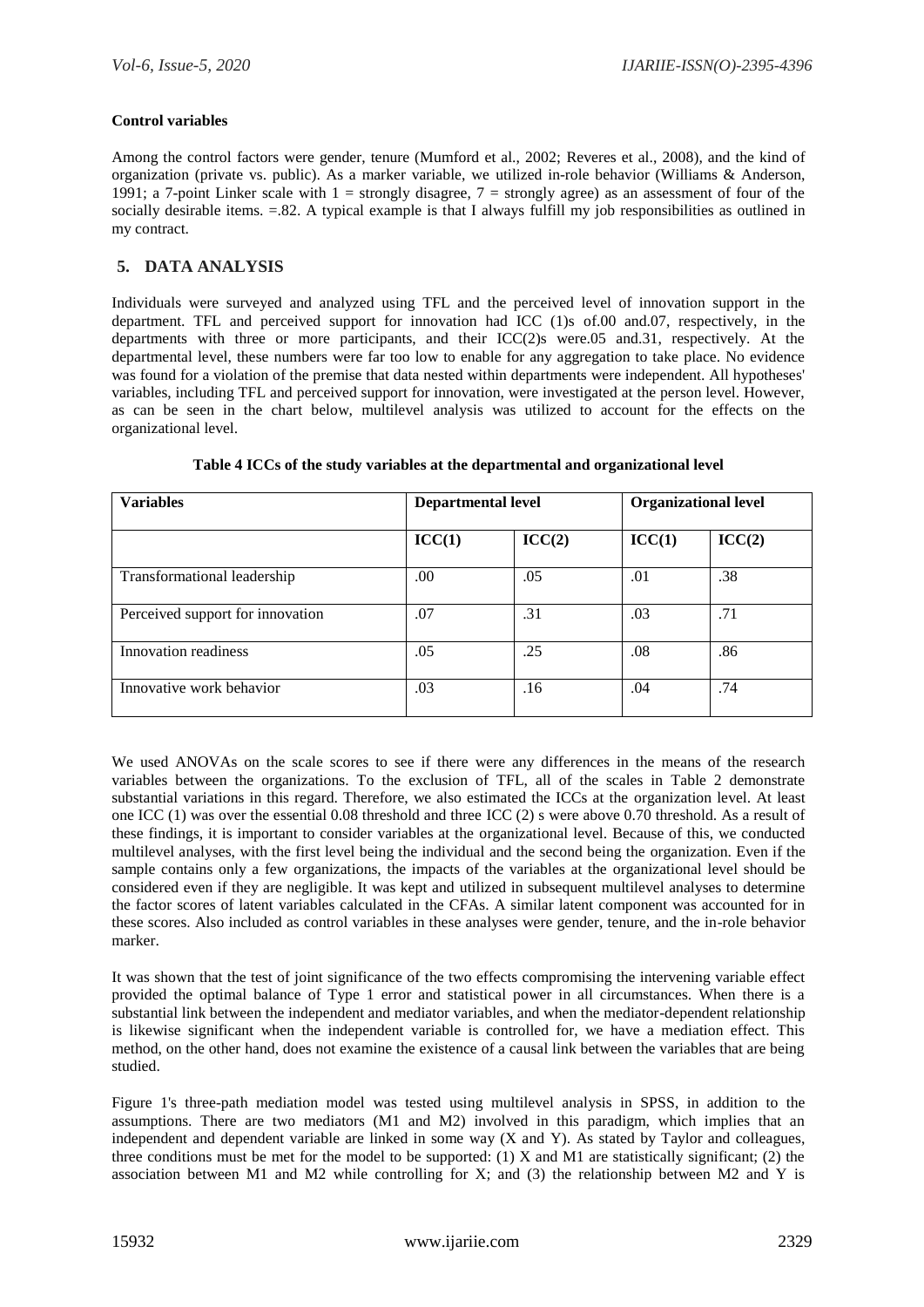## **Control variables**

Among the control factors were gender, tenure (Mumford et al., 2002; Reveres et al., 2008), and the kind of organization (private vs. public). As a marker variable, we utilized in-role behavior (Williams & Anderson, 1991; a 7-point Linker scale with  $1 =$  strongly disagree,  $7 =$  strongly agree) as an assessment of four of the socially desirable items. = 82. A typical example is that I always fulfill my job responsibilities as outlined in my contract.

## **5. DATA ANALYSIS**

Individuals were surveyed and analyzed using TFL and the perceived level of innovation support in the department. TFL and perceived support for innovation had ICC (1)s of.00 and.07, respectively, in the departments with three or more participants, and their ICC(2)s were.05 and.31, respectively. At the departmental level, these numbers were far too low to enable for any aggregation to take place. No evidence was found for a violation of the premise that data nested within departments were independent. All hypotheses' variables, including TFL and perceived support for innovation, were investigated at the person level. However, as can be seen in the chart below, multilevel analysis was utilized to account for the effects on the organizational level.

| <b>Variables</b>                 | <b>Departmental level</b> |        | <b>Organizational level</b> |        |  |
|----------------------------------|---------------------------|--------|-----------------------------|--------|--|
|                                  | ICC(1)                    | ICC(2) | ICC(1)                      | ICC(2) |  |
| Transformational leadership      | .00.                      | .05    | .01                         | .38    |  |
| Perceived support for innovation | .07                       | .31    | .03                         | .71    |  |
| Innovation readiness             | .05                       | .25    | .08                         | .86    |  |
| Innovative work behavior         | .03                       | .16    | .04                         | .74    |  |

**Table 4 ICCs of the study variables at the departmental and organizational level**

We used ANOVAs on the scale scores to see if there were any differences in the means of the research variables between the organizations. To the exclusion of TFL, all of the scales in Table 2 demonstrate substantial variations in this regard. Therefore, we also estimated the ICCs at the organization level. At least one ICC (1) was over the essential 0.08 threshold and three ICC (2) s were above 0.70 threshold. As a result of these findings, it is important to consider variables at the organizational level. Because of this, we conducted multilevel analyses, with the first level being the individual and the second being the organization. Even if the sample contains only a few organizations, the impacts of the variables at the organizational level should be considered even if they are negligible. It was kept and utilized in subsequent multilevel analyses to determine the factor scores of latent variables calculated in the CFAs. A similar latent component was accounted for in these scores. Also included as control variables in these analyses were gender, tenure, and the in-role behavior marker.

It was shown that the test of joint significance of the two effects compromising the intervening variable effect provided the optimal balance of Type 1 error and statistical power in all circumstances. When there is a substantial link between the independent and mediator variables, and when the mediator-dependent relationship is likewise significant when the independent variable is controlled for, we have a mediation effect. This method, on the other hand, does not examine the existence of a causal link between the variables that are being studied.

Figure 1's three-path mediation model was tested using multilevel analysis in SPSS, in addition to the assumptions. There are two mediators (M1 and M2) involved in this paradigm, which implies that an independent and dependent variable are linked in some way (X and Y). As stated by Taylor and colleagues, three conditions must be met for the model to be supported: (1) X and M1 are statistically significant; (2) the association between M1 and M2 while controlling for X; and  $(3)$  the relationship between M2 and Y is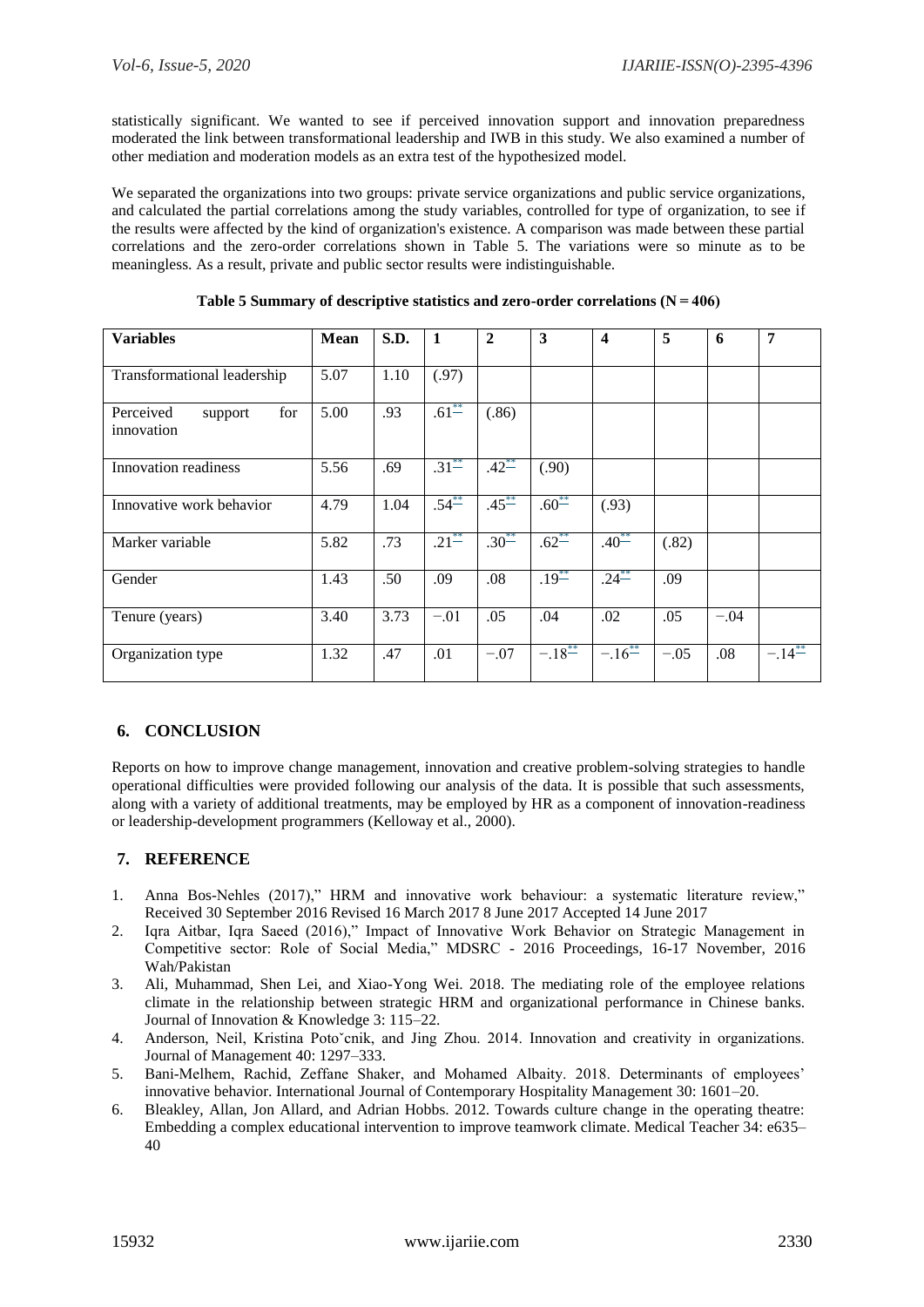statistically significant. We wanted to see if perceived innovation support and innovation preparedness moderated the link between transformational leadership and IWB in this study. We also examined a number of other mediation and moderation models as an extra test of the hypothesized model.

We separated the organizations into two groups: private service organizations and public service organizations, and calculated the partial correlations among the study variables, controlled for type of organization, to see if the results were affected by the kind of organization's existence. A comparison was made between these partial correlations and the zero-order correlations shown in Table 5. The variations were so minute as to be meaningless. As a result, private and public sector results were indistinguishable.

| <b>Variables</b>                          | <b>Mean</b> | S.D. | 1          | $\overline{2}$ | 3                    | $\boldsymbol{4}$ | 5      | 6      | $\overline{7}$ |
|-------------------------------------------|-------------|------|------------|----------------|----------------------|------------------|--------|--------|----------------|
| Transformational leadership               | 5.07        | 1.10 | (.97)      |                |                      |                  |        |        |                |
| Perceived<br>for<br>support<br>innovation | 5.00        | .93  | $.61^{**}$ | (.86)          |                      |                  |        |        |                |
| Innovation readiness                      | 5.56        | .69  | $.31^{**}$ | $.42^{**}$     | (.90)                |                  |        |        |                |
| Innovative work behavior                  | 4.79        | 1.04 | $.54^{**}$ | $.45^{**}$     | $.60^{**}$           | (.93)            |        |        |                |
| Marker variable                           | 5.82        | .73  | $.21^{**}$ | $.30^{**}$     | $.62^{**}$           | $.40^{**}$       | (.82)  |        |                |
| Gender                                    | 1.43        | .50  | .09        | .08            | $.19^{**}$           | $.24^{**}$       | .09    |        |                |
| Tenure (years)                            | 3.40        | 3.73 | $-.01$     | .05            | .04                  | .02              | .05    | $-.04$ |                |
| Organization type                         | 1.32        | .47  | .01        | $-.07$         | $-.18$ <sup>**</sup> | $-.16^{**}$      | $-.05$ | .08    | $-.14^{**}$    |

**Table 5 Summary of descriptive statistics and zero-order correlations (N = 406)**

# **6. CONCLUSION**

Reports on how to improve change management, innovation and creative problem-solving strategies to handle operational difficulties were provided following our analysis of the data. It is possible that such assessments, along with a variety of additional treatments, may be employed by HR as a component of innovation-readiness or leadership-development programmers (Kelloway et al., 2000).

# **7. REFERENCE**

- 1. Anna Bos-Nehles (2017)," HRM and innovative work behaviour: a systematic literature review," Received 30 September 2016 Revised 16 March 2017 8 June 2017 Accepted 14 June 2017
- 2. Iqra Aitbar, Iqra Saeed (2016)," Impact of Innovative Work Behavior on Strategic Management in Competitive sector: Role of Social Media," MDSRC - 2016 Proceedings, 16-17 November, 2016 Wah/Pakistan
- 3. Ali, Muhammad, Shen Lei, and Xiao-Yong Wei. 2018. The mediating role of the employee relations climate in the relationship between strategic HRM and organizational performance in Chinese banks. Journal of Innovation & Knowledge 3: 115–22.
- 4. Anderson, Neil, Kristina Poto`cnik, and Jing Zhou. 2014. Innovation and creativity in organizations. Journal of Management 40: 1297–333.
- 5. Bani-Melhem, Rachid, Zeffane Shaker, and Mohamed Albaity. 2018. Determinants of employees' innovative behavior. International Journal of Contemporary Hospitality Management 30: 1601–20.
- 6. Bleakley, Allan, Jon Allard, and Adrian Hobbs. 2012. Towards culture change in the operating theatre: Embedding a complex educational intervention to improve teamwork climate. Medical Teacher 34: e635– 40